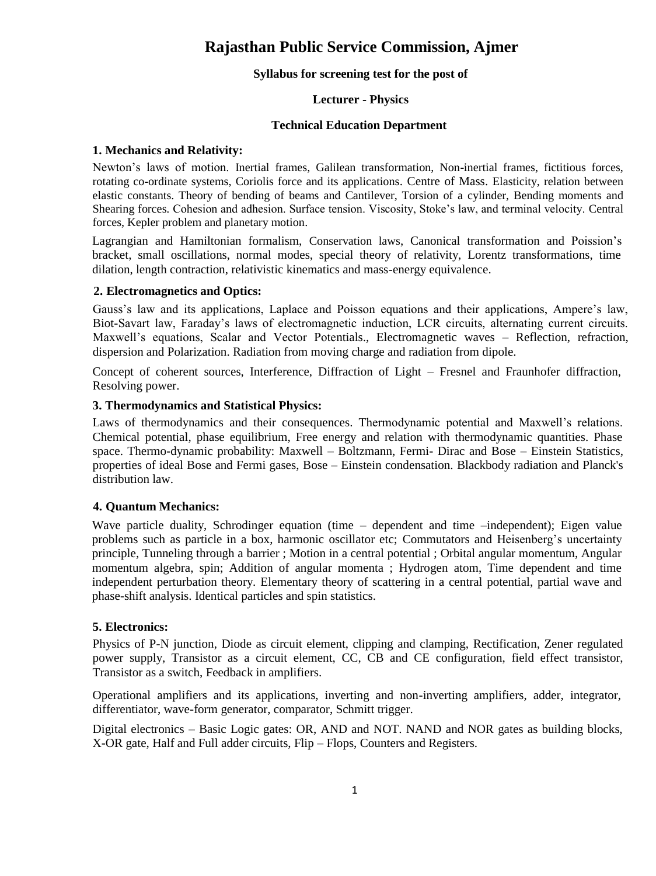# **Rajasthan Public Service Commission, Ajmer**

#### **Syllabus for screening test for the post of**

## **Lecturer - Physics**

#### **Technical Education Department**

#### **1. Mechanics and Relativity:**

Newton's laws of motion. Inertial frames, Galilean transformation, Non-inertial frames, fictitious forces, rotating co-ordinate systems, Coriolis force and its applications. Centre of Mass. Elasticity, relation between elastic constants. Theory of bending of beams and Cantilever, Torsion of a cylinder, Bending moments and Shearing forces. Cohesion and adhesion. Surface tension. Viscosity, Stoke's law, and terminal velocity. Central forces, Kepler problem and planetary motion.

Lagrangian and Hamiltonian formalism, Conservation laws, Canonical transformation and Poission's bracket, small oscillations, normal modes, special theory of relativity, Lorentz transformations, time dilation, length contraction, relativistic kinematics and mass-energy equivalence.

#### **2. Electromagnetics and Optics:**

Gauss's law and its applications, Laplace and Poisson equations and their applications, Ampere's law, Biot-Savart law, Faraday's laws of electromagnetic induction, LCR circuits, alternating current circuits. Maxwell's equations, Scalar and Vector Potentials., Electromagnetic waves – Reflection, refraction, dispersion and Polarization. Radiation from moving charge and radiation from dipole.

Concept of coherent sources, Interference, Diffraction of Light – Fresnel and Fraunhofer diffraction, Resolving power.

#### **3. Thermodynamics and Statistical Physics:**

Laws of thermodynamics and their consequences. Thermodynamic potential and Maxwell's relations. Chemical potential, phase equilibrium, Free energy and relation with thermodynamic quantities. Phase space. Thermo-dynamic probability: Maxwell – Boltzmann, Fermi- Dirac and Bose – Einstein Statistics, properties of ideal Bose and Fermi gases, Bose – Einstein condensation. Blackbody radiation and Planck's distribution law.

## **4. Quantum Mechanics:**

Wave particle duality, Schrodinger equation (time – dependent and time –independent); Eigen value problems such as particle in a box, harmonic oscillator etc; Commutators and Heisenberg's uncertainty principle, Tunneling through a barrier ; Motion in a central potential ; Orbital angular momentum, Angular momentum algebra, spin; Addition of angular momenta ; Hydrogen atom, Time dependent and time independent perturbation theory. Elementary theory of scattering in a central potential, partial wave and phase-shift analysis. Identical particles and spin statistics.

## **5. Electronics:**

Physics of P-N junction, Diode as circuit element, clipping and clamping, Rectification, Zener regulated power supply, Transistor as a circuit element, CC, CB and CE configuration, field effect transistor, Transistor as a switch, Feedback in amplifiers.

Operational amplifiers and its applications, inverting and non-inverting amplifiers, adder, integrator, differentiator, wave-form generator, comparator, Schmitt trigger.

Digital electronics – Basic Logic gates: OR, AND and NOT. NAND and NOR gates as building blocks, X-OR gate, Half and Full adder circuits, Flip – Flops, Counters and Registers.